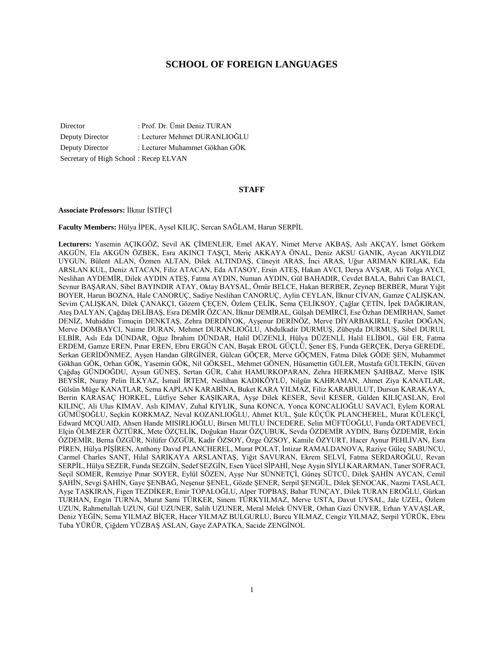# **SCHOOL OF FOREIGN LANGUAGES**

Director : Prof. Dr. Ümit Deniz TURAN Deputy Director : Lecturer Mehmet DURANLIOĞLU Deputy Director : Lecturer Muhammet Gökhan GÖK Secretary of High School : Recep ELVAN

### **STAFF**

#### **Associate Professors:** İlknur İSTİFÇİ

**Faculty Members:** Hülya İPEK, Aysel KILIÇ, Sercan SAĞLAM, Harun SERPİL

**Lecturers:** Yasemin AÇIKGÖZ, Sevil AK ÇİMENLER, Emel AKAY, Nimet Merve AKBAŞ, Aslı AKÇAY, İsmet Görkem AKGÜN, Ela AKGÜN ÖZBEK, Esra AKINCI TAŞÇI, Meriç AKKAYA ÖNAL, Deniz AKSU GANIK, Aycan AKYILDIZ UYGUN, Bülent ALAN, Özmen ALTAN, Dilek ALTINDAŞ, Cüneyit ARAS, İnci ARAS, Uğur ARIMAN KIRLAK, Eda ARSLAN KUL, Deniz ATACAN, Filiz ATACAN, Eda ATASOY, Ersin ATEŞ, Hakan AVCI, Derya AVŞAR, Ali Tolga AYCI, Neslihan AYDEMİR, Dilek AYDIN ATEŞ, Fatma AYDIN, Numan AYDIN, Gül BAHADIR, Cevdet BALA, Bahri Can BALCI, Sevnur BAŞARAN, Sibel BAYINDIR ATAY, Oktay BAYSAL, Ömür BELCE, Hakan BERBER, Zeynep BERBER, Murat Yiğit BOYER, Harun BOZNA, Hale CANORUÇ, Sadiye Neslihan CANORUÇ, Aylin CEYLAN, İlknur CİVAN, Gamze ÇALIŞKAN, Sevim ÇALIŞKAN, Dilek ÇANAKÇI, Gözem ÇEÇEN, Özlem ÇELİK, Sema ÇELİKSOY, Çağlar ÇETİN, İpek DAĞKIRAN, Ateş DALYAN, Çağdaş DELİBAŞ, Esra DEMİR ÖZCAN, İlknur DEMİRAL, Gülşah DEMİRCİ, Ese Özhan DEMİRHAN, Samet DENİZ, Muhiddin Timuçin DENKTAŞ, Zehra DERDİYOK, Ayşenur DERİNÖZ, Merve DİYARBAKIRLI, Fazilet DOĞAN, Merve DOMBAYCI, Naime DURAN, Mehmet DURANLIOĞLU, Abdulkadir DURMUŞ, Zübeyda DURMUŞ, Sibel DURUL ELBİR, Aslı Eda DÜNDAR, Oğuz İbrahim DÜNDAR, Halil DÜZENLİ, Hülya DÜZENLİ, Halil ELİBOL, Gül ER, Fatma ERDEM, Gamze EREN, Pınar EREN, Ebru ERGÜN CAN, Başak EROL GÜÇLÜ, Şener EŞ, Funda GERÇEK, Derya GEREDE, Serkan GERİDÖNMEZ, Ayşen Handan GİRGİNER, Gülcan GÖÇER, Merve GÖÇMEN, Fatma Dilek GÖDE ŞEN, Muhammet Gökhan GÖK, Orhan GÖK, Yasemin GÖK, Nil GÖKSEL, Mehmet GÖNEN, Hüsamettin GÜLER, Mustafa GÜLTEKİN, Güven Çağdaş GÜNDOĞDU, Aysun GÜNEŞ, Sertan GÜR, Cahit HAMURKOPARAN, Zehra HERKMEN ŞAHBAZ, Merve IŞIK BEYSİR, Nuray Pelin İLKYAZ, İsmail İRTEM, Neslihan KADIKÖYLÜ, Nilgün KAHRAMAN, Ahmet Ziya KANATLAR, Gülsün Müge KANATLAR, Sema KAPLAN KARABİNA, Buket KARA YILMAZ, Filiz KARABULUT, Dursun KARAKAYA, Berrin KARASAÇ HORKEL, Lütfiye Seher KAŞIKARA, Ayşe Dilek KESER, Sevil KESER, Gülden KILIÇASLAN, Erol KILINÇ, Ali Ulus KIMAV, Aslı KIMAV, Zuhal KIYLIK, Suna KONCA, Yonca KONCALIOĞLU SAVACI, Eylem KORAL GÜMÜŞOĞLU, Seçkin KORKMAZ, Neval KOZANLIOĞLU, Ahmet KUL, Şule KÜÇÜK PLANCHEREL, Murat KÜLEKÇİ, Edward MCQUAID, Ahsen Hande MISIRLIOĞLU, Birsen MUTLU İNCEDERE, Selin MÜFTÜOĞLU, Funda ORTADEVECİ, Elçin ÖLMEZER ÖZTÜRK, Mete ÖZÇELİK, Doğukan Hazar ÖZÇUBUK, Sevda ÖZDEMİR AYDIN, Barış ÖZDEMİR, Erkin ÖZDEMİR, Berna ÖZGÜR, Nilüfer ÖZGÜR, Kadir ÖZSOY, Özge ÖZSOY, Kamile ÖZYURT, Hacer Aynur PEHLİVAN, Esra PİREN, Hülya PİŞİREN, Anthony Davıd PLANCHEREL, Murat POLAT, İntizar RAMALDANOVA, Raziye Güleç SABUNCU, Carmel Charles SANT, Hilal SARIKAYA ARSLANTAŞ, Yiğit SAVURAN, Ekrem SELVİ, Fatma SERDAROĞLU, Revan SERPİL, Hülya SEZER, Funda SEZGİN, Sedef SEZGİN, Esen Yücel SİPAHİ, Neşe Ayşin SİYLİ KARARMAN, Taner SOFRACI, Seçil SOMER, Remziye Pınar SOYER, Eylül SÖZEN, Ayşe Nur SÜNNETÇİ, Güneş SÜTCÜ, Dilek ŞAHİN AYCAN, Cemil ŞAHİN, Sevgi ŞAHİN, Gaye ŞENBAĞ, Neşenur ŞENEL, Gözde ŞENER, Serpil ŞENGÜL, Dilek ŞENOCAK, Nazmi TASLACI, Ayşe TAŞKIRAN, Figen TEZDİKER, Emir TOPALOĞLU, Alper TOPBAŞ, Bahar TUNÇAY, Dilek TURAN EROĞLU, Gürkan TURHAN, Engin TURNA, Murat Sami TÜRKER, Sinem TÜRKYILMAZ, Merve USTA, Davut UYSAL, Jale UZEL, Özlem UZUN, Rahmetullah UZUN, Gül UZUNER, Salih UZUNER, Meral Melek ÜNVER, Orhan Gazi ÜNVER, Erhan YAVAŞLAR, Deniz YEĞİN, Sema YILMAZ BİÇER, Hacer YILMAZ BULGURLU, Burcu YILMAZ, Cengiz YILMAZ, Serpil YÜRÜK, Ebru Tuba YÜRÜR, Çiğdem YÜZBAŞ ASLAN, Gaye ZAPATKA, Sacide ZENGİNOL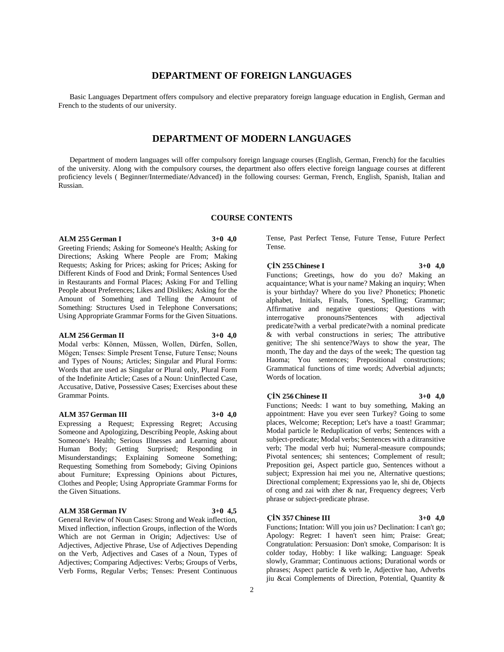# **DEPARTMENT OF FOREIGN LANGUAGES**

 Basic Languages Department offers compulsory and elective preparatory foreign language education in English, German and French to the students of our university.

# **DEPARTMENT OF MODERN LANGUAGES**

 Department of modern languages will offer compulsory foreign language courses (English, German, French) for the faculties of the university. Along with the compulsory courses, the department also offers elective foreign language courses at different proficiency levels ( Beginner/Intermediate/Advanced) in the following courses: German, French, English, Spanish, Italian and Russian.

# **COURSE CONTENTS**

## **ALM 255 German I 3+0 4,0**

Greeting Friends; Asking for Someone's Health; Asking for Directions; Asking Where People are From; Making Requests; Asking for Prices; asking for Prices; Asking for Different Kinds of Food and Drink; Formal Sentences Used in Restaurants and Formal Places; Asking For and Telling People about Preferences; Likes and Dislikes; Asking for the Amount of Something and Telling the Amount of Something: Structures Used in Telephone Conversations; Using Appropriate Grammar Forms for the Given Situations.

# **ALM 256 German II 3+0 4,0**

Modal verbs: Können, Müssen, Wollen, Dürfen, Sollen, Mögen; Tenses: Simple Present Tense, Future Tense; Nouns and Types of Nouns; Articles; Singular and Plural Forms: Words that are used as Singular or Plural only, Plural Form of the Indefinite Article; Cases of a Noun: Uninflected Case, Accusative, Dative, Possessive Cases; Exercises about these Grammar Points.

#### **ALM 357 German III 3+0 4,0**

Expressing a Request; Expressing Regret; Accusing Someone and Apologizing, Describing People, Asking about Someone's Health; Serious Illnesses and Learning about Human Body; Getting Surprised; Responding in Misunderstandings; Explaining Someone Something; Requesting Something from Somebody; Giving Opinions about Furniture; Expressing Opinions about Pictures, Clothes and People; Using Appropriate Grammar Forms for the Given Situations.

# **ALM 358 German IV 3+0 4,5**

General Review of Noun Cases: Strong and Weak inflection, Mixed inflection, inflection Groups, inflection of the Words Which are not German in Origin; Adjectives: Use of Adjectives, Adjective Phrase, Use of Adjectives Depending on the Verb, Adjectives and Cases of a Noun, Types of Adjectives; Comparing Adjectives: Verbs; Groups of Verbs, Verb Forms, Regular Verbs; Tenses: Present Continuous

Tense, Past Perfect Tense, Future Tense, Future Perfect Tense.

**ÇİN 255 Chinese I 3+0 4,0** Functions; Greetings, how do you do? Making an acquaintance; What is your name? Making an inquiry; When is your birthday? Where do you live? Phonetics; Phonetic alphabet, Initials, Finals, Tones, Spelling; Grammar; Affirmative and negative questions; Questions with interrogative pronouns?Sentences with adjectival predicate?with a verbal predicate?with a nominal predicate & with verbal constructions in series; The attributive genitive; The shi sentence?Ways to show the year, The month, The day and the days of the week; The question tag Haoma; You sentences; Prepositional constructions; Grammatical functions of time words; Adverbial adjuncts; Words of location.

# **ÇİN 256 Chinese II 3+0 4,0**

Functions; Needs: I want to buy something, Making an appointment: Have you ever seen Turkey? Going to some places, Welcome; Reception; Let's have a toast! Grammar; Modal particle le Reduplication of verbs; Sentences with a subject-predicate; Modal verbs; Sentences with a ditransitive verb; The modal verb hui; Numeral-measure compounds; Pivotal sentences; shi sentences; Complement of result; Preposition gei, Aspect particle guo, Sentences without a subject; Expression hai mei you ne, Alternative questions; Directional complement; Expressions yao le, shi de, Objects of cong and zai with zher & nar, Frequency degrees; Verb

#### **ÇİN 357 Chinese III 3+0 4,0**

phrase or subject-predicate phrase.

Functions; Intation: Will you join us? Declination: I can't go; Apology: Regret: I haven't seen him; Praise: Great; Congratulation: Persuasion: Don't smoke, Comparison: It is colder today, Hobby: I like walking; Language: Speak slowly, Grammar; Continuous actions; Durational words or phrases; Aspect particle & verb le, Adjective hao, Adverbs jiu &cai Complements of Direction, Potential, Quantity &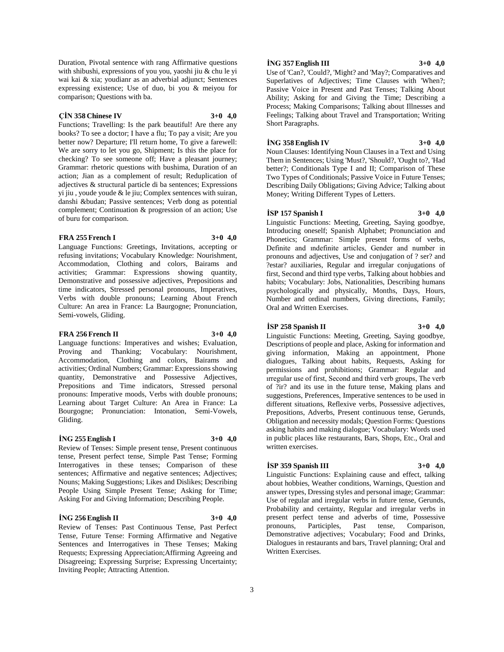Duration, Pivotal sentence with rang Affirmative questions with shibushi, expressions of you you, yaoshi jiu & chu le yi wai kai & xia; youdianr as an adverbial adjunct; Sentences expressing existence; Use of duo, bi you & meiyou for comparison; Questions with ba.

# **ÇİN 358 Chinese IV 3+0 4,0**

Functions; Travelling: Is the park beautiful! Are there any books? To see a doctor; I have a flu; To pay a visit; Are you better now? Departure; I'll return home, To give a farewell: We are sorry to let you go, Shipment; Is this the place for checking? To see someone off; Have a pleasant journey; Grammar: rhetoric questions with bushima, Duration of an action; Jian as a complement of result; Reduplication of adjectives & structural particle di ba sentences; Expressions yi jiu , youde youde & le jiu; Complex sentences with suiran, danshi &budan; Passive sentences; Verb dong as potential complement; Continuation & progression of an action; Use of buru for comparison.

# **FRA 255 French I 3+0 4,0**

Language Functions: Greetings, Invitations, accepting or refusing invitations; Vocabulary Knowledge: Nourishment, Accommodation, Clothing and colors, Bairams and activities; Grammar: Expressions showing quantity, Demonstrative and possessive adjectives, Prepositions and time indicators, Stressed personal pronouns, Imperatives, Verbs with double pronouns; Learning About French Culture: An area in France: La Baurgogne; Pronunciation, Semi-vowels, Gliding.

# **FRA 256 French II 3+0 4,0**

Language functions: Imperatives and wishes; Evaluation, Proving and Thanking; Vocabulary: Nourishment, Accommodation, Clothing and colors, Bairams and activities; Ordinal Numbers; Grammar: Expressions showing quantity, Demonstrative and Possessive Adjectives, Prepositions and Time indicators, Stressed personal pronouns: Imperative moods, Verbs with double pronouns; Learning about Target Culture: An Area in France: La Bourgogne; Pronunciation: Intonation, Semi-Vowels, Gliding.

# **İNG 255 English I 3+0 4,0**

Review of Tenses: Simple present tense, Present continuous tense, Present perfect tense, Simple Past Tense; Forming Interrogatives in these tenses; Comparison of these sentences; Affirmative and negative sentences; Adjectives; Nouns; Making Suggestions; Likes and Dislikes; Describing People Using Simple Present Tense; Asking for Time; Asking For and Giving Information; Describing People.

# **İNG 256 English II 3+0 4,0**

Review of Tenses: Past Continuous Tense, Past Perfect Tense, Future Tense: Forming Affirmative and Negative Sentences and Interrogatives in These Tenses; Making Requests; Expressing Appreciation;Affirming Agreeing and Disagreeing; Expressing Surprise; Expressing Uncertainty; Inviting People; Attracting Attention.

# **İNG 357 English III 3+0 4,0**

Use of 'Can?, 'Could?, 'Might? and 'May?; Comparatives and Superlatives of Adjectives; Time Clauses with 'When?; Passive Voice in Present and Past Tenses; Talking About Ability; Asking for and Giving the Time; Describing a Process; Making Comparisons; Talking about Illnesses and Feelings; Talking about Travel and Transportation; Writing Short Paragraphs.

## **İNG 358 English IV 3+0 4,0**

Noun Clauses: Identifying Noun Clauses in a Text and Using Them in Sentences; Using 'Must?, 'Should?, 'Ought to?, 'Had better?; Conditionals Type I and II; Comparison of These Two Types of Conditionals; Passive Voice in Future Tenses; Describing Daily Obligations; Giving Advice; Talking about Money; Writing Different Types of Letters.

# **İSP 157 Spanish I 3+0 4,0**

Linguistic Functions: Meeting, Greeting, Saying goodbye, Introducing oneself; Spanish Alphabet; Pronunciation and Phonetics; Grammar: Simple present forms of verbs, Definite and ındefinite articles, Gender and number in pronouns and adjectives, Use and conjugation of ? ser? and ?estar? auxiliaries, Regular and irregular conjugations of first, Second and third type verbs, Talking about hobbies and habits; Vocabulary: Jobs, Nationalities, Describing humans psychologically and physically, Months, Days, Hours, Number and ordinal numbers, Giving directions, Family; Oral and Written Exercises.

# **İSP 258 Spanish II 3+0 4,0**

Linguistic Functions: Meeting, Greeting, Saying goodbye, Descriptions of people and place, Asking for information and giving information, Making an appointment, Phone dialogues, Talking about habits, Requests, Asking for permissions and prohibitions; Grammar: Regular and ırregular use of first, Second and third verb groups, The verb of ?ir? and its use in the future tense, Making plans and suggestions, Preferences, Imperative sentences to be used in different situations, Reflexive verbs, Possessive adjectives, Prepositions, Adverbs, Present continuous tense, Gerunds, Obligation and necessity modals; Question Forms: Questions asking habits and making dialogue; Vocabulary: Words used in public places like restaurants, Bars, Shops, Etc., Oral and written exercises.

# **İSP 359 Spanish III 3+0 4,0**

Linguistic Functions: Explaining cause and effect, talking about hobbies, Weather conditions, Warnings, Question and answer types, Dressing styles and personal image; Grammar: Use of regular and irregular verbs in future tense, Gerunds, Probability and certainty, Regular and irregular verbs in present perfect tense and adverbs of time, Possessive pronouns, Participles, Past tense, Comparison, Demonstrative adjectives; Vocabulary; Food and Drinks, Dialogues in restaurants and bars, Travel planning; Oral and Written Exercises.